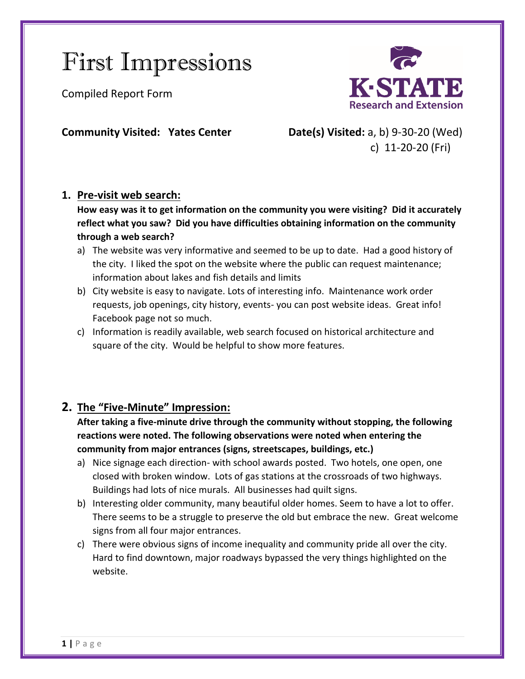# First Impressions

Compiled Report Form



**Community Visited: Yates Center Date(s) Visited:** a, b) 9-30-20 (Wed) c) 11-20-20 (Fri)

## **1. Pre-visit web search:**

**How easy was it to get information on the community you were visiting? Did it accurately reflect what you saw? Did you have difficulties obtaining information on the community through a web search?**

- a) The website was very informative and seemed to be up to date. Had a good history of the city. I liked the spot on the website where the public can request maintenance; information about lakes and fish details and limits
- b) City website is easy to navigate. Lots of interesting info. Maintenance work order requests, job openings, city history, events- you can post website ideas. Great info! Facebook page not so much.
- c) Information is readily available, web search focused on historical architecture and square of the city. Would be helpful to show more features.

# **2. The "Five-Minute" Impression:**

**After taking a five-minute drive through the community without stopping, the following reactions were noted. The following observations were noted when entering the community from major entrances (signs, streetscapes, buildings, etc.)**

- a) Nice signage each direction- with school awards posted. Two hotels, one open, one closed with broken window. Lots of gas stations at the crossroads of two highways. Buildings had lots of nice murals. All businesses had quilt signs.
- b) Interesting older community, many beautiful older homes. Seem to have a lot to offer. There seems to be a struggle to preserve the old but embrace the new. Great welcome signs from all four major entrances.
- c) There were obvious signs of income inequality and community pride all over the city. Hard to find downtown, major roadways bypassed the very things highlighted on the website.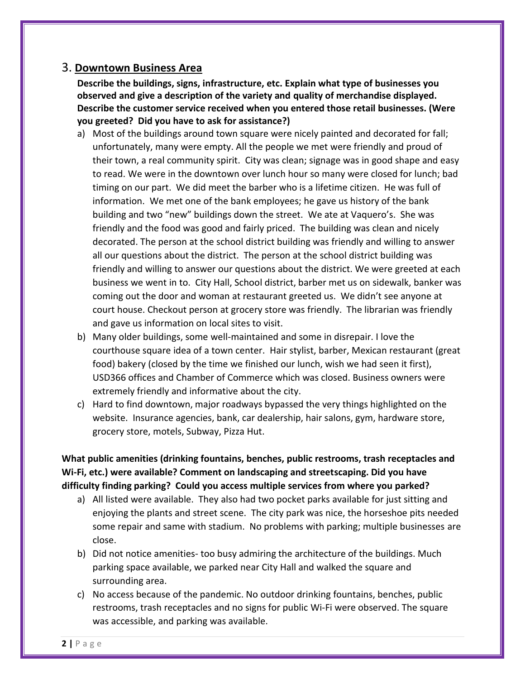#### 3. **Downtown Business Area**

**Describe the buildings, signs, infrastructure, etc. Explain what type of businesses you observed and give a description of the variety and quality of merchandise displayed. Describe the customer service received when you entered those retail businesses. (Were you greeted? Did you have to ask for assistance?)**

- a) Most of the buildings around town square were nicely painted and decorated for fall; unfortunately, many were empty. All the people we met were friendly and proud of their town, a real community spirit. City was clean; signage was in good shape and easy to read. We were in the downtown over lunch hour so many were closed for lunch; bad timing on our part. We did meet the barber who is a lifetime citizen. He was full of information. We met one of the bank employees; he gave us history of the bank building and two "new" buildings down the street. We ate at Vaquero's. She was friendly and the food was good and fairly priced. The building was clean and nicely decorated. The person at the school district building was friendly and willing to answer all our questions about the district. The person at the school district building was friendly and willing to answer our questions about the district. We were greeted at each business we went in to. City Hall, School district, barber met us on sidewalk, banker was coming out the door and woman at restaurant greeted us. We didn't see anyone at court house. Checkout person at grocery store was friendly. The librarian was friendly and gave us information on local sites to visit.
- b) Many older buildings, some well-maintained and some in disrepair. I love the courthouse square idea of a town center. Hair stylist, barber, Mexican restaurant (great food) bakery (closed by the time we finished our lunch, wish we had seen it first), USD366 offices and Chamber of Commerce which was closed. Business owners were extremely friendly and informative about the city.
- c) Hard to find downtown, major roadways bypassed the very things highlighted on the website. Insurance agencies, bank, car dealership, hair salons, gym, hardware store, grocery store, motels, Subway, Pizza Hut.

**What public amenities (drinking fountains, benches, public restrooms, trash receptacles and Wi-Fi, etc.) were available? Comment on landscaping and streetscaping. Did you have difficulty finding parking? Could you access multiple services from where you parked?**

- a) All listed were available. They also had two pocket parks available for just sitting and enjoying the plants and street scene. The city park was nice, the horseshoe pits needed some repair and same with stadium. No problems with parking; multiple businesses are close.
- b) Did not notice amenities- too busy admiring the architecture of the buildings. Much parking space available, we parked near City Hall and walked the square and surrounding area.
- c) No access because of the pandemic. No outdoor drinking fountains, benches, public restrooms, trash receptacles and no signs for public Wi-Fi were observed. The square was accessible, and parking was available.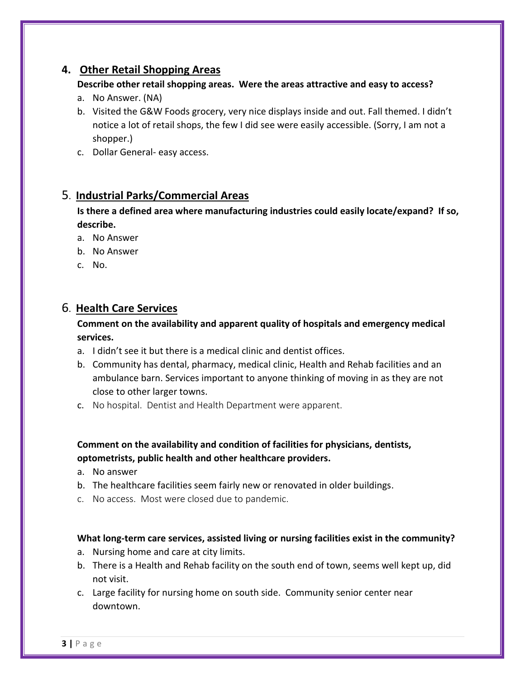## **4. Other Retail Shopping Areas**

#### **Describe other retail shopping areas. Were the areas attractive and easy to access?**

- a. No Answer. (NA)
- b. Visited the G&W Foods grocery, very nice displays inside and out. Fall themed. I didn't notice a lot of retail shops, the few I did see were easily accessible. (Sorry, I am not a shopper.)
- c. Dollar General- easy access.

## 5. **Industrial Parks/Commercial Areas**

**Is there a defined area where manufacturing industries could easily locate/expand? If so, describe.**

- a. No Answer
- b. No Answer
- c. No.

## 6. **Health Care Services**

#### **Comment on the availability and apparent quality of hospitals and emergency medical services.**

- a. I didn't see it but there is a medical clinic and dentist offices.
- b. Community has dental, pharmacy, medical clinic, Health and Rehab facilities and an ambulance barn. Services important to anyone thinking of moving in as they are not close to other larger towns.
- c. No hospital. Dentist and Health Department were apparent.

#### **Comment on the availability and condition of facilities for physicians, dentists, optometrists, public health and other healthcare providers.**

- a. No answer
- b. The healthcare facilities seem fairly new or renovated in older buildings.
- c. No access. Most were closed due to pandemic.

#### **What long-term care services, assisted living or nursing facilities exist in the community?**

- a. Nursing home and care at city limits.
- b. There is a Health and Rehab facility on the south end of town, seems well kept up, did not visit.
- c. Large facility for nursing home on south side. Community senior center near downtown.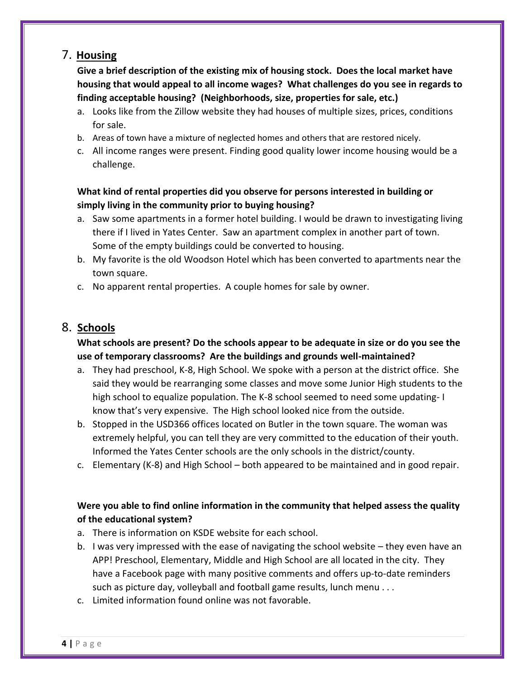## 7. **Housing**

**Give a brief description of the existing mix of housing stock. Does the local market have housing that would appeal to all income wages? What challenges do you see in regards to finding acceptable housing? (Neighborhoods, size, properties for sale, etc.)** 

- a. Looks like from the Zillow website they had houses of multiple sizes, prices, conditions for sale.
- b. Areas of town have a mixture of neglected homes and others that are restored nicely.
- c. All income ranges were present. Finding good quality lower income housing would be a challenge.

## **What kind of rental properties did you observe for persons interested in building or simply living in the community prior to buying housing?**

- a. Saw some apartments in a former hotel building. I would be drawn to investigating living there if I lived in Yates Center. Saw an apartment complex in another part of town. Some of the empty buildings could be converted to housing.
- b. My favorite is the old Woodson Hotel which has been converted to apartments near the town square.
- c. No apparent rental properties. A couple homes for sale by owner.

# 8. **Schools**

## **What schools are present? Do the schools appear to be adequate in size or do you see the use of temporary classrooms? Are the buildings and grounds well-maintained?**

- a. They had preschool, K-8, High School. We spoke with a person at the district office. She said they would be rearranging some classes and move some Junior High students to the high school to equalize population. The K-8 school seemed to need some updating- I know that's very expensive. The High school looked nice from the outside.
- b. Stopped in the USD366 offices located on Butler in the town square. The woman was extremely helpful, you can tell they are very committed to the education of their youth. Informed the Yates Center schools are the only schools in the district/county.
- c. Elementary (K-8) and High School both appeared to be maintained and in good repair.

## **Were you able to find online information in the community that helped assess the quality of the educational system?**

- a. There is information on KSDE website for each school.
- b. I was very impressed with the ease of navigating the school website they even have an APP! Preschool, Elementary, Middle and High School are all located in the city. They have a Facebook page with many positive comments and offers up-to-date reminders such as picture day, volleyball and football game results, lunch menu . . .
- c. Limited information found online was not favorable.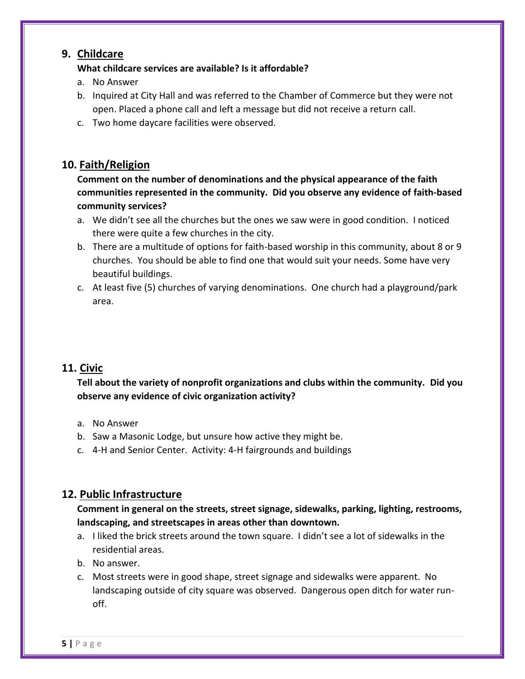### **9. Childcare**

#### **What childcare services are available? Is it affordable?**

- a. No Answer
- b. Inquired at City Hall and was referred to the Chamber of Commerce but they were not open. Placed a phone call and left a message but did not receive a return call.
- c. Two home daycare facilities were observed.

## **10. Faith/Religion**

**Comment on the number of denominations and the physical appearance of the faith communities represented in the community. Did you observe any evidence of faith-based community services?**

- a. We didn't see all the churches but the ones we saw were in good condition. I noticed there were quite a few churches in the city.
- b. There are a multitude of options for faith-based worship in this community, about 8 or 9 churches. You should be able to find one that would suit your needs. Some have very beautiful buildings.
- c. At least five (5) churches of varying denominations. One church had a playground/park area.

## **11. Civic**

## **Tell about the variety of nonprofit organizations and clubs within the community. Did you observe any evidence of civic organization activity?**

- a. No Answer
- b. Saw a Masonic Lodge, but unsure how active they might be.
- c. 4-H and Senior Center. Activity: 4-H fairgrounds and buildings

# **12. Public Infrastructure**

**Comment in general on the streets, street signage, sidewalks, parking, lighting, restrooms, landscaping, and streetscapes in areas other than downtown.**

- a. I liked the brick streets around the town square. I didn't see a lot of sidewalks in the residential areas.
- b. No answer.
- c. Most streets were in good shape, street signage and sidewalks were apparent. No landscaping outside of city square was observed. Dangerous open ditch for water runoff.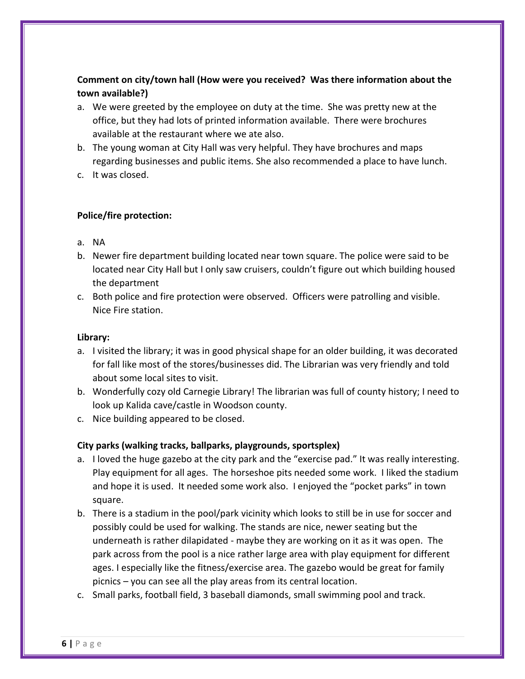## **Comment on city/town hall (How were you received? Was there information about the town available?)**

- a. We were greeted by the employee on duty at the time. She was pretty new at the office, but they had lots of printed information available. There were brochures available at the restaurant where we ate also.
- b. The young woman at City Hall was very helpful. They have brochures and maps regarding businesses and public items. She also recommended a place to have lunch.
- c. It was closed.

#### **Police/fire protection:**

- a. NA
- b. Newer fire department building located near town square. The police were said to be located near City Hall but I only saw cruisers, couldn't figure out which building housed the department
- c. Both police and fire protection were observed. Officers were patrolling and visible. Nice Fire station.

#### **Library:**

- a. I visited the library; it was in good physical shape for an older building, it was decorated for fall like most of the stores/businesses did. The Librarian was very friendly and told about some local sites to visit.
- b. Wonderfully cozy old Carnegie Library! The librarian was full of county history; I need to look up Kalida cave/castle in Woodson county.
- c. Nice building appeared to be closed.

#### **City parks (walking tracks, ballparks, playgrounds, sportsplex)**

- a. I loved the huge gazebo at the city park and the "exercise pad." It was really interesting. Play equipment for all ages. The horseshoe pits needed some work. I liked the stadium and hope it is used. It needed some work also. I enjoyed the "pocket parks" in town square.
- b. There is a stadium in the pool/park vicinity which looks to still be in use for soccer and possibly could be used for walking. The stands are nice, newer seating but the underneath is rather dilapidated - maybe they are working on it as it was open. The park across from the pool is a nice rather large area with play equipment for different ages. I especially like the fitness/exercise area. The gazebo would be great for family picnics – you can see all the play areas from its central location.
- c. Small parks, football field, 3 baseball diamonds, small swimming pool and track.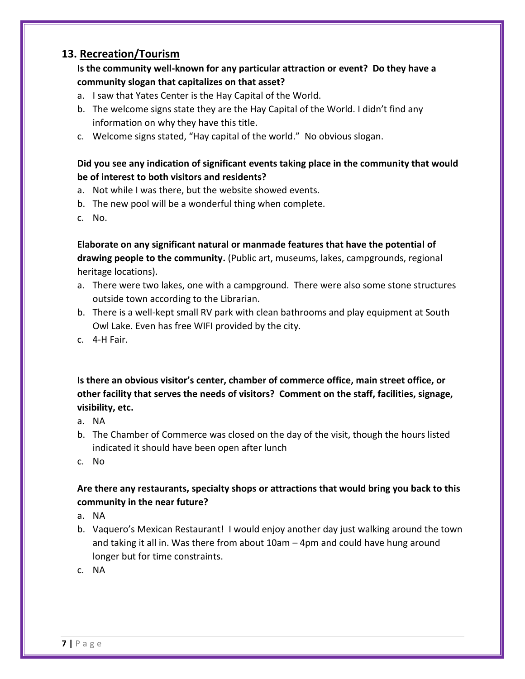## **13. Recreation/Tourism**

### **Is the community well-known for any particular attraction or event? Do they have a community slogan that capitalizes on that asset?**

- a. I saw that Yates Center is the Hay Capital of the World.
- b. The welcome signs state they are the Hay Capital of the World. I didn't find any information on why they have this title.
- c. Welcome signs stated, "Hay capital of the world." No obvious slogan.

#### **Did you see any indication of significant events taking place in the community that would be of interest to both visitors and residents?**

- a. Not while I was there, but the website showed events.
- b. The new pool will be a wonderful thing when complete.
- c. No.

**Elaborate on any significant natural or manmade features that have the potential of drawing people to the community.** (Public art, museums, lakes, campgrounds, regional heritage locations).

- a. There were two lakes, one with a campground. There were also some stone structures outside town according to the Librarian.
- b. There is a well-kept small RV park with clean bathrooms and play equipment at South Owl Lake. Even has free WIFI provided by the city.
- c. 4-H Fair.

**Is there an obvious visitor's center, chamber of commerce office, main street office, or other facility that serves the needs of visitors? Comment on the staff, facilities, signage, visibility, etc.**

- a. NA
- b. The Chamber of Commerce was closed on the day of the visit, though the hours listed indicated it should have been open after lunch
- c. No

### **Are there any restaurants, specialty shops or attractions that would bring you back to this community in the near future?**

- a. NA
- b. Vaquero's Mexican Restaurant! I would enjoy another day just walking around the town and taking it all in. Was there from about 10am – 4pm and could have hung around longer but for time constraints.
- c. NA